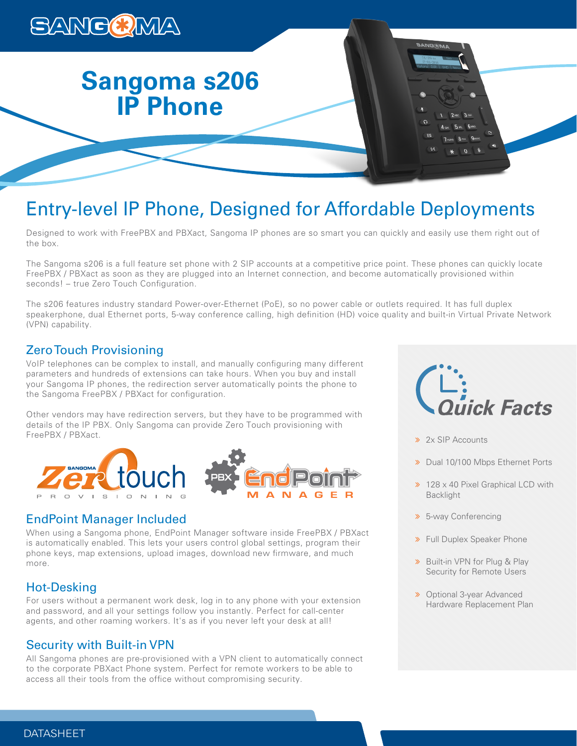

# **Sangoma s206 IP Phone**

## Entry-level IP Phone, Designed for Affordable Deployments

Designed to work with FreePBX and PBXact, Sangoma IP phones are so smart you can quickly and easily use them right out of the box.

The Sangoma s206 is a full feature set phone with 2 SIP accounts at a competitive price point. These phones can quickly locate FreePBX / PBXact as soon as they are plugged into an Internet connection, and become automatically provisioned within seconds! – true Zero Touch Configuration.

The s206 features industry standard Power-over-Ethernet (PoE), so no power cable or outlets required. It has full duplex speakerphone, dual Ethernet ports, 5-way conference calling, high definition (HD) voice quality and built-in Virtual Private Network (VPN) capability.

## Zero Touch Provisioning

VoIP telephones can be complex to install, and manually configuring many different parameters and hundreds of extensions can take hours. When you buy and install your Sangoma IP phones, the redirection server automatically points the phone to the Sangoma FreePBX / PBXact for configuration.

Other vendors may have redirection servers, but they have to be programmed with details of the IP PBX. Only Sangoma can provide Zero Touch provisioning with FreePBX / PBXact.



## EndPoint Manager Included

When using a Sangoma phone, EndPoint Manager software inside FreePBX / PBXact is automatically enabled. This lets your users control global settings, program their phone keys, map extensions, upload images, download new firmware, and much more.

## Hot-Desking

For users without a permanent work desk, log in to any phone with your extension and password, and all your settings follow you instantly. Perfect for call-center agents, and other roaming workers. It's as if you never left your desk at all!

## Security with Built-in VPN

All Sangoma phones are pre-provisioned with a VPN client to automatically connect to the corporate PBXact Phone system. Perfect for remote workers to be able to access all their tools from the office without compromising security.



- >> 2x SIP Accounts
- > Dual 10/100 Mbps Ethernet Ports
- > 128 x 40 Pixel Graphical LCD with Backlight
- 5-way Conferencing
- Full Duplex Speaker Phone
- **»** Built-in VPN for Plug & Play Security for Remote Users
- **»** Optional 3-year Advanced Hardware Replacement Plan